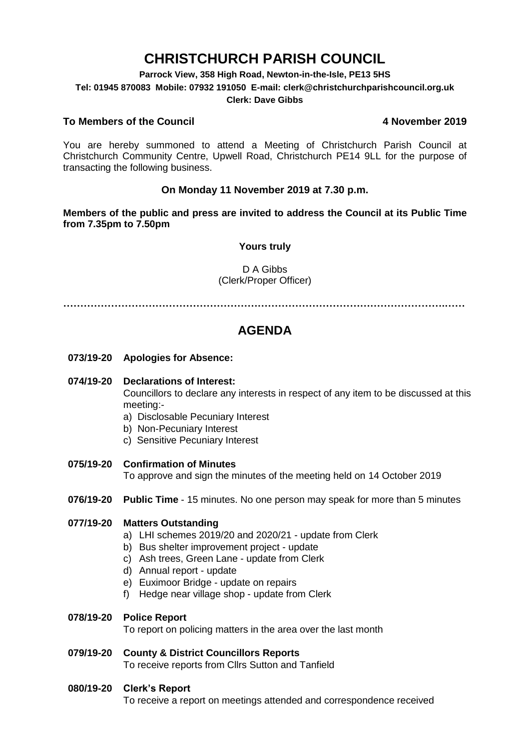# **CHRISTCHURCH PARISH COUNCIL**

**Parrock View, 358 High Road, Newton-in-the-Isle, PE13 5HS**

**Tel: 01945 870083 Mobile: 07932 191050 E-mail: clerk@christchurchparishcouncil.org.uk**

#### **Clerk: Dave Gibbs**

### **To Members of the Council 4 November 2019**

You are hereby summoned to attend a Meeting of Christchurch Parish Council at Christchurch Community Centre, Upwell Road, Christchurch PE14 9LL for the purpose of transacting the following business.

### **On Monday 11 November 2019 at 7.30 p.m.**

**Members of the public and press are invited to address the Council at its Public Time from 7.35pm to 7.50pm**

#### **Yours truly**

#### D A Gibbs (Clerk/Proper Officer)

**………………………………………………………………………………………………….……**

## **AGENDA**

**073/19-20 Apologies for Absence:** 

#### **074/19-20 Declarations of Interest:**

Councillors to declare any interests in respect of any item to be discussed at this meeting:-

- a) Disclosable Pecuniary Interest
- b) Non-Pecuniary Interest
- c) Sensitive Pecuniary Interest
- **075/19-20 Confirmation of Minutes**

To approve and sign the minutes of the meeting held on 14 October 2019

**076/19-20 Public Time** - 15 minutes. No one person may speak for more than 5 minutes

#### **077/19-20 Matters Outstanding**

- a) LHI schemes 2019/20 and 2020/21 update from Clerk
- b) Bus shelter improvement project update
- c) Ash trees, Green Lane update from Clerk
- d) Annual report update
- e) Euximoor Bridge update on repairs
- f) Hedge near village shop update from Clerk

#### **078/19-20 Police Report**

To report on policing matters in the area over the last month

#### **079/19-20 County & District Councillors Reports**  To receive reports from Cllrs Sutton and Tanfield

#### **080/19-20 Clerk's Report**

To receive a report on meetings attended and correspondence received